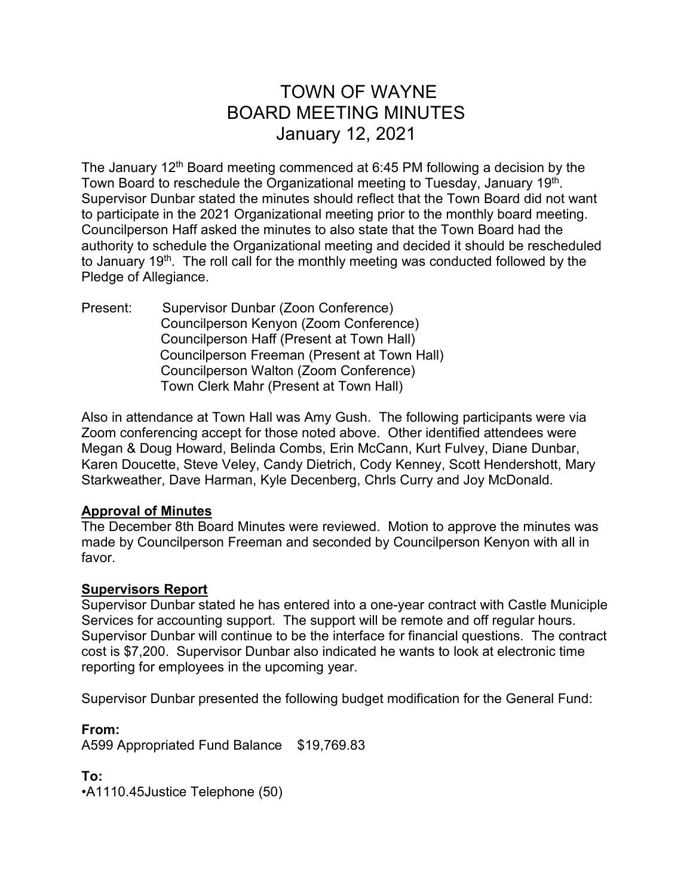# TOWN OF WAYNE BOARD MEETING MINUTES January 12, 2021

The January 12th Board meeting commenced at 6:45 PM following a decision by the Town Board to reschedule the Organizational meeting to Tuesday, January 19<sup>th</sup>. Supervisor Dunbar stated the minutes should reflect that the Town Board did not want to participate in the 2021 Organizational meeting prior to the monthly board meeting. Councilperson Haff asked the minutes to also state that the Town Board had the authority to schedule the Organizational meeting and decided it should be rescheduled to January 19<sup>th</sup>. The roll call for the monthly meeting was conducted followed by the Pledge of Allegiance.

Present: Supervisor Dunbar (Zoon Conference) Councilperson Kenyon (Zoom Conference) Councilperson Haff (Present at Town Hall) Councilperson Freeman (Present at Town Hall) Councilperson Walton (Zoom Conference) Town Clerk Mahr (Present at Town Hall)

Also in attendance at Town Hall was Amy Gush. The following participants were via Zoom conferencing accept for those noted above. Other identified attendees were Megan & Doug Howard, Belinda Combs, Erin McCann, Kurt Fulvey, Diane Dunbar, Karen Doucette, Steve Veley, Candy Dietrich, Cody Kenney, Scott Hendershott, Mary Starkweather, Dave Harman, Kyle Decenberg, Chrls Curry and Joy McDonald.

## **Approval of Minutes**

The December 8th Board Minutes were reviewed. Motion to approve the minutes was made by Councilperson Freeman and seconded by Councilperson Kenyon with all in favor.

## **Supervisors Report**

Supervisor Dunbar stated he has entered into a one-year contract with Castle Municiple Services for accounting support. The support will be remote and off regular hours. Supervisor Dunbar will continue to be the interface for financial questions. The contract cost is \$7,200. Supervisor Dunbar also indicated he wants to look at electronic time reporting for employees in the upcoming year.

Supervisor Dunbar presented the following budget modification for the General Fund:

**From:** A599 Appropriated Fund Balance \$19,769.83

**To:** •A1110.45Justice Telephone (50)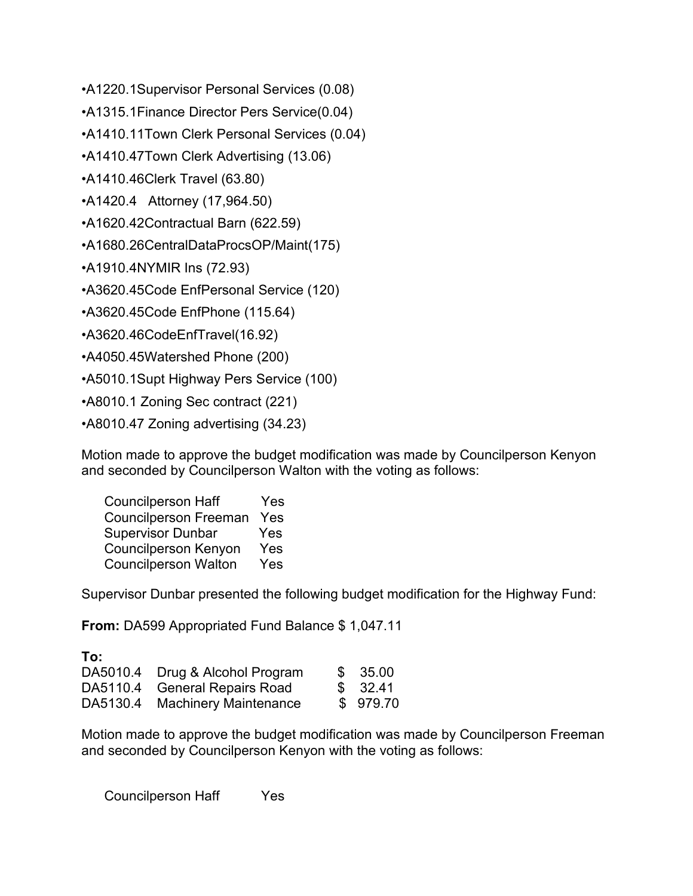- •A1220.1Supervisor Personal Services (0.08)
- •A1315.1Finance Director Pers Service(0.04)

•A1410.11Town Clerk Personal Services (0.04)

•A1410.47Town Clerk Advertising (13.06)

•A1410.46Clerk Travel (63.80)

•A1420.4 Attorney (17,964.50)

•A1620.42Contractual Barn (622.59)

•A1680.26CentralDataProcsOP/Maint(175)

•A1910.4NYMIR Ins (72.93)

•A3620.45Code EnfPersonal Service (120)

•A3620.45Code EnfPhone (115.64)

•A3620.46CodeEnfTravel(16.92)

•A4050.45Watershed Phone (200)

•A5010.1Supt Highway Pers Service (100)

•A8010.1 Zoning Sec contract (221)

•A8010.47 Zoning advertising (34.23)

Motion made to approve the budget modification was made by Councilperson Kenyon and seconded by Councilperson Walton with the voting as follows:

| <b>Councilperson Haff</b>    | Yes |
|------------------------------|-----|
| <b>Councilperson Freeman</b> | Yes |
| <b>Supervisor Dunbar</b>     | Yes |
| <b>Councilperson Kenyon</b>  | Yes |
| <b>Councilperson Walton</b>  | Yes |

Supervisor Dunbar presented the following budget modification for the Highway Fund:

**From:** DA599 Appropriated Fund Balance \$ 1,047.11

| To: |                                 |          |
|-----|---------------------------------|----------|
|     | DA5010.4 Drug & Alcohol Program | \$35.00  |
|     | DA5110.4 General Repairs Road   | \$32.41  |
|     | DA5130.4 Machinery Maintenance  | \$979.70 |

Motion made to approve the budget modification was made by Councilperson Freeman and seconded by Councilperson Kenyon with the voting as follows:

Councilperson Haff Yes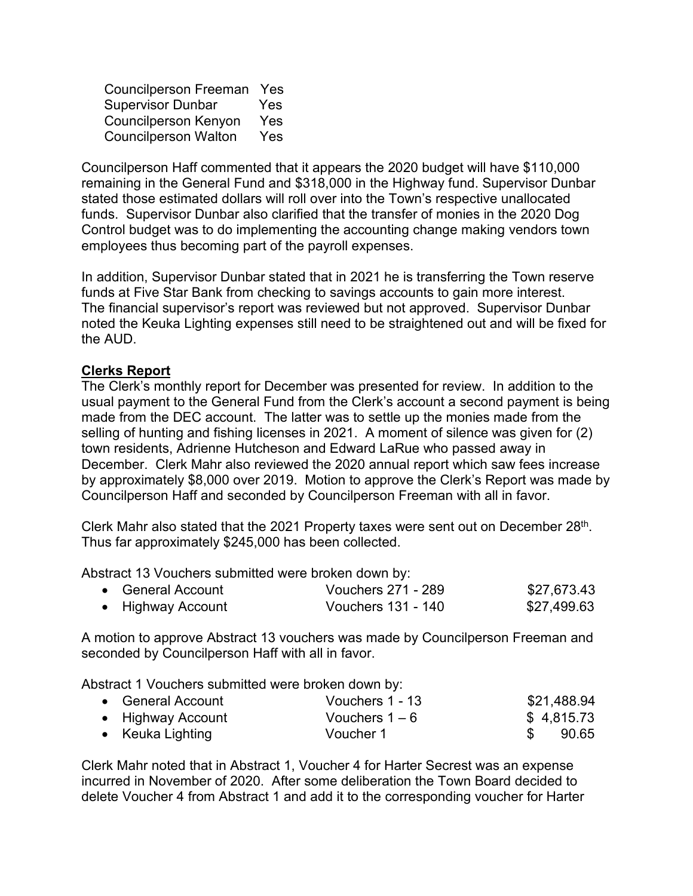Councilperson Freeman Yes Supervisor Dunbar Yes Councilperson Kenyon Yes Councilperson Walton Yes

Councilperson Haff commented that it appears the 2020 budget will have \$110,000 remaining in the General Fund and \$318,000 in the Highway fund. Supervisor Dunbar stated those estimated dollars will roll over into the Town's respective unallocated funds. Supervisor Dunbar also clarified that the transfer of monies in the 2020 Dog Control budget was to do implementing the accounting change making vendors town employees thus becoming part of the payroll expenses.

In addition, Supervisor Dunbar stated that in 2021 he is transferring the Town reserve funds at Five Star Bank from checking to savings accounts to gain more interest. The financial supervisor's report was reviewed but not approved. Supervisor Dunbar noted the Keuka Lighting expenses still need to be straightened out and will be fixed for the AUD.

## **Clerks Report**

The Clerk's monthly report for December was presented for review. In addition to the usual payment to the General Fund from the Clerk's account a second payment is being made from the DEC account. The latter was to settle up the monies made from the selling of hunting and fishing licenses in 2021. A moment of silence was given for (2) town residents, Adrienne Hutcheson and Edward LaRue who passed away in December. Clerk Mahr also reviewed the 2020 annual report which saw fees increase by approximately \$8,000 over 2019. Motion to approve the Clerk's Report was made by Councilperson Haff and seconded by Councilperson Freeman with all in favor.

Clerk Mahr also stated that the 2021 Property taxes were sent out on December 28<sup>th</sup>. Thus far approximately \$245,000 has been collected.

Abstract 13 Vouchers submitted were broken down by:

| • General Account | <b>Vouchers 271 - 289</b> | \$27,673.43 |
|-------------------|---------------------------|-------------|
| • Highway Account | Vouchers 131 - 140        | \$27,499.63 |

A motion to approve Abstract 13 vouchers was made by Councilperson Freeman and seconded by Councilperson Haff with all in favor.

Abstract 1 Vouchers submitted were broken down by:

| • General Account | Vouchers 1 - 13  | \$21,488.94 |
|-------------------|------------------|-------------|
| • Highway Account | Vouchers $1 - 6$ | \$4,815.73  |
| • Keuka Lighting  | Voucher 1        | 90.65       |

Clerk Mahr noted that in Abstract 1, Voucher 4 for Harter Secrest was an expense incurred in November of 2020. After some deliberation the Town Board decided to delete Voucher 4 from Abstract 1 and add it to the corresponding voucher for Harter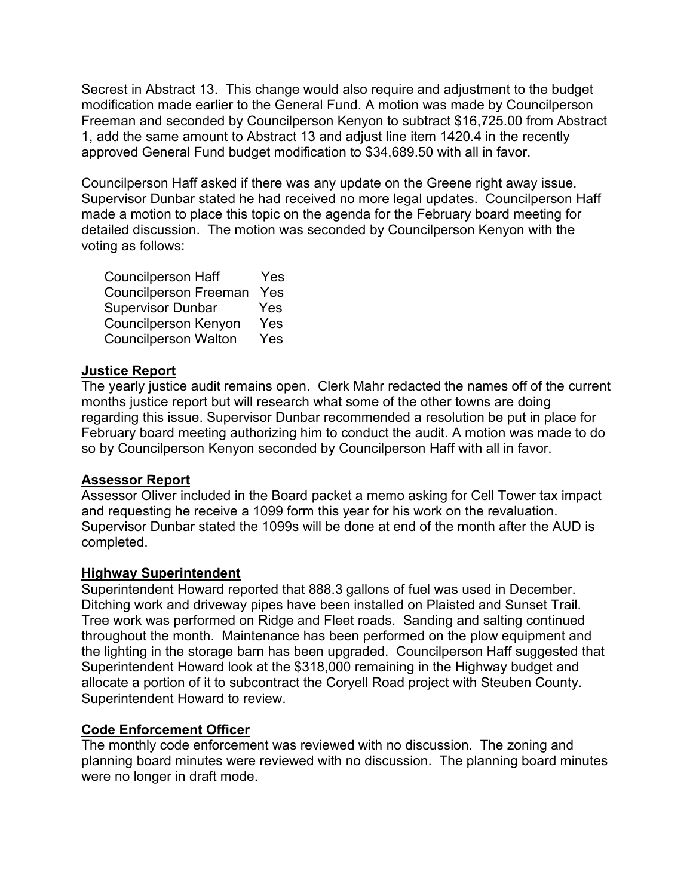Secrest in Abstract 13. This change would also require and adjustment to the budget modification made earlier to the General Fund. A motion was made by Councilperson Freeman and seconded by Councilperson Kenyon to subtract \$16,725.00 from Abstract 1, add the same amount to Abstract 13 and adjust line item 1420.4 in the recently approved General Fund budget modification to \$34,689.50 with all in favor.

Councilperson Haff asked if there was any update on the Greene right away issue. Supervisor Dunbar stated he had received no more legal updates. Councilperson Haff made a motion to place this topic on the agenda for the February board meeting for detailed discussion. The motion was seconded by Councilperson Kenyon with the voting as follows:

| <b>Councilperson Haff</b>    | Yes |
|------------------------------|-----|
| <b>Councilperson Freeman</b> | Yes |
| <b>Supervisor Dunbar</b>     | Yes |
| <b>Councilperson Kenyon</b>  | Yes |
| <b>Councilperson Walton</b>  | Yes |

## **Justice Report**

The yearly justice audit remains open. Clerk Mahr redacted the names off of the current months justice report but will research what some of the other towns are doing regarding this issue. Supervisor Dunbar recommended a resolution be put in place for February board meeting authorizing him to conduct the audit. A motion was made to do so by Councilperson Kenyon seconded by Councilperson Haff with all in favor.

## **Assessor Report**

Assessor Oliver included in the Board packet a memo asking for Cell Tower tax impact and requesting he receive a 1099 form this year for his work on the revaluation. Supervisor Dunbar stated the 1099s will be done at end of the month after the AUD is completed.

## **Highway Superintendent**

Superintendent Howard reported that 888.3 gallons of fuel was used in December. Ditching work and driveway pipes have been installed on Plaisted and Sunset Trail. Tree work was performed on Ridge and Fleet roads. Sanding and salting continued throughout the month. Maintenance has been performed on the plow equipment and the lighting in the storage barn has been upgraded. Councilperson Haff suggested that Superintendent Howard look at the \$318,000 remaining in the Highway budget and allocate a portion of it to subcontract the Coryell Road project with Steuben County. Superintendent Howard to review.

## **Code Enforcement Officer**

The monthly code enforcement was reviewed with no discussion. The zoning and planning board minutes were reviewed with no discussion. The planning board minutes were no longer in draft mode.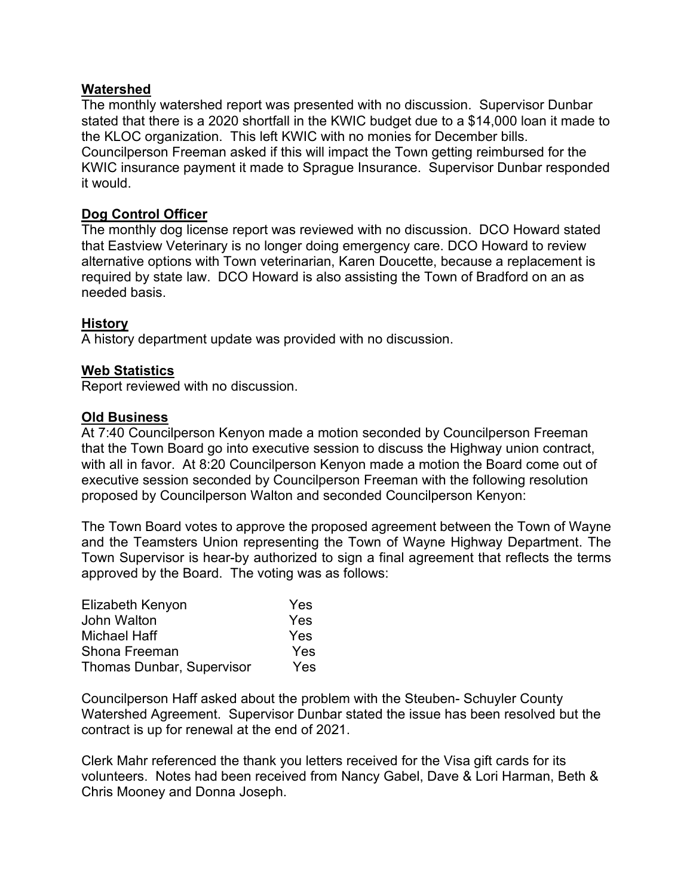#### **Watershed**

The monthly watershed report was presented with no discussion. Supervisor Dunbar stated that there is a 2020 shortfall in the KWIC budget due to a \$14,000 loan it made to the KLOC organization. This left KWIC with no monies for December bills. Councilperson Freeman asked if this will impact the Town getting reimbursed for the KWIC insurance payment it made to Sprague Insurance. Supervisor Dunbar responded it would.

## **Dog Control Officer**

The monthly dog license report was reviewed with no discussion. DCO Howard stated that Eastview Veterinary is no longer doing emergency care. DCO Howard to review alternative options with Town veterinarian, Karen Doucette, because a replacement is required by state law. DCO Howard is also assisting the Town of Bradford on an as needed basis.

#### **History**

A history department update was provided with no discussion.

#### **Web Statistics**

Report reviewed with no discussion.

#### **Old Business**

At 7:40 Councilperson Kenyon made a motion seconded by Councilperson Freeman that the Town Board go into executive session to discuss the Highway union contract, with all in favor. At 8:20 Councilperson Kenyon made a motion the Board come out of executive session seconded by Councilperson Freeman with the following resolution proposed by Councilperson Walton and seconded Councilperson Kenyon:

The Town Board votes to approve the proposed agreement between the Town of Wayne and the Teamsters Union representing the Town of Wayne Highway Department. The Town Supervisor is hear-by authorized to sign a final agreement that reflects the terms approved by the Board. The voting was as follows:

| Elizabeth Kenyon                 | Yes        |
|----------------------------------|------------|
| John Walton                      | Yes        |
| Michael Haff                     | <b>Yes</b> |
| Shona Freeman                    | Yes        |
| <b>Thomas Dunbar, Supervisor</b> | Yes        |

Councilperson Haff asked about the problem with the Steuben- Schuyler County Watershed Agreement. Supervisor Dunbar stated the issue has been resolved but the contract is up for renewal at the end of 2021.

Clerk Mahr referenced the thank you letters received for the Visa gift cards for its volunteers. Notes had been received from Nancy Gabel, Dave & Lori Harman, Beth & Chris Mooney and Donna Joseph.